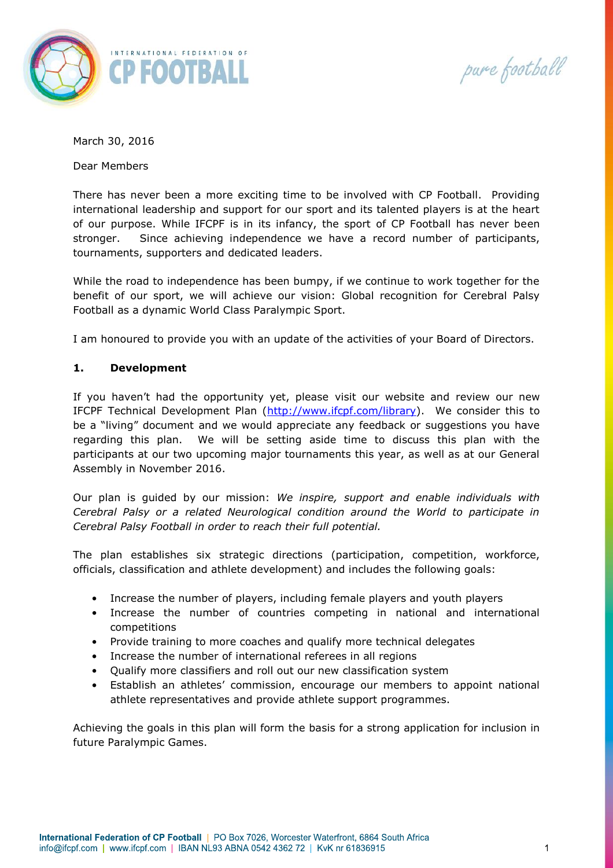

pure football

March 30, 2016

Dear Members

There has never been a more exciting time to be involved with CP Football. Providing international leadership and support for our sport and its talented players is at the heart of our purpose. While IFCPF is in its infancy, the sport of CP Football has never been stronger. Since achieving independence we have a record number of participants, tournaments, supporters and dedicated leaders.

While the road to independence has been bumpy, if we continue to work together for the benefit of our sport, we will achieve our vision: Global recognition for Cerebral Palsy Football as a dynamic World Class Paralympic Sport.

I am honoured to provide you with an update of the activities of your Board of Directors.

#### **1. Development**

If you haven't had the opportunity yet, please visit our website and review our new IFCPF Technical Development Plan [\(http://www.ifcpf.com/library\)](http://www.ifcpf.com/library). We consider this to be a "living" document and we would appreciate any feedback or suggestions you have regarding this plan. We will be setting aside time to discuss this plan with the participants at our two upcoming major tournaments this year, as well as at our General Assembly in November 2016.

Our plan is guided by our mission: *We inspire, support and enable individuals with Cerebral Palsy or a related Neurological condition around the World to participate in Cerebral Palsy Football in order to reach their full potential.*

The plan establishes six strategic directions (participation, competition, workforce, officials, classification and athlete development) and includes the following goals:

- Increase the number of players, including female players and youth players
- Increase the number of countries competing in national and international competitions
- Provide training to more coaches and qualify more technical delegates
- Increase the number of international referees in all regions
- Qualify more classifiers and roll out our new classification system
- Establish an athletes' commission, encourage our members to appoint national athlete representatives and provide athlete support programmes.

Achieving the goals in this plan will form the basis for a strong application for inclusion in future Paralympic Games.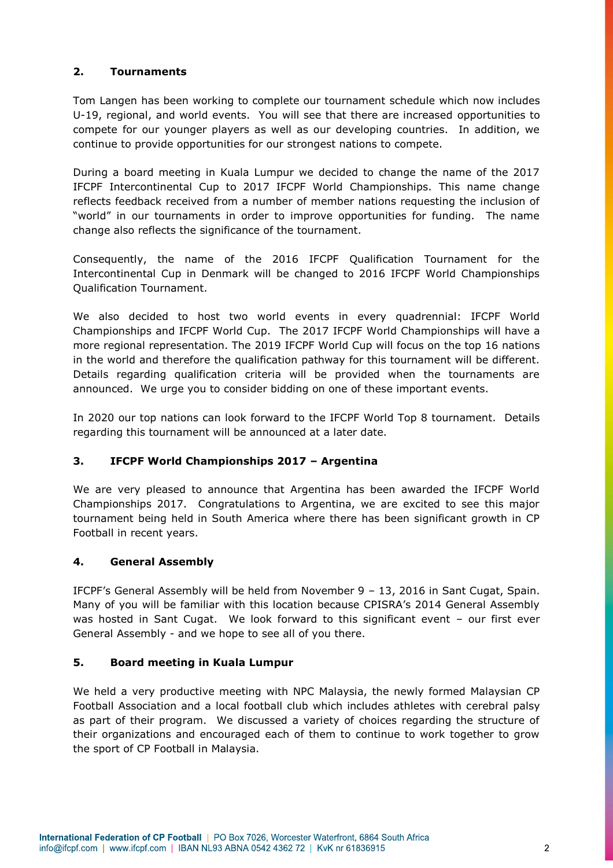# **2. Tournaments**

Tom Langen has been working to complete our tournament schedule which now includes U-19, regional, and world events. You will see that there are increased opportunities to compete for our younger players as well as our developing countries. In addition, we continue to provide opportunities for our strongest nations to compete.

During a board meeting in Kuala Lumpur we decided to change the name of the 2017 IFCPF Intercontinental Cup to 2017 IFCPF World Championships. This name change reflects feedback received from a number of member nations requesting the inclusion of "world" in our tournaments in order to improve opportunities for funding. The name change also reflects the significance of the tournament.

Consequently, the name of the 2016 IFCPF Qualification Tournament for the Intercontinental Cup in Denmark will be changed to 2016 IFCPF World Championships Qualification Tournament.

We also decided to host two world events in every quadrennial: IFCPF World Championships and IFCPF World Cup. The 2017 IFCPF World Championships will have a more regional representation. The 2019 IFCPF World Cup will focus on the top 16 nations in the world and therefore the qualification pathway for this tournament will be different. Details regarding qualification criteria will be provided when the tournaments are announced. We urge you to consider bidding on one of these important events.

In 2020 our top nations can look forward to the IFCPF World Top 8 tournament. Details regarding this tournament will be announced at a later date.

# **3. IFCPF World Championships 2017 – Argentina**

We are very pleased to announce that Argentina has been awarded the IFCPF World Championships 2017. Congratulations to Argentina, we are excited to see this major tournament being held in South America where there has been significant growth in CP Football in recent years.

### **4. General Assembly**

IFCPF's General Assembly will be held from November 9 – 13, 2016 in Sant Cugat, Spain. Many of you will be familiar with this location because CPISRA's 2014 General Assembly was hosted in Sant Cugat. We look forward to this significant event – our first ever General Assembly - and we hope to see all of you there.

### **5. Board meeting in Kuala Lumpur**

We held a very productive meeting with NPC Malaysia, the newly formed Malaysian CP Football Association and a local football club which includes athletes with cerebral palsy as part of their program. We discussed a variety of choices regarding the structure of their organizations and encouraged each of them to continue to work together to grow the sport of CP Football in Malaysia.